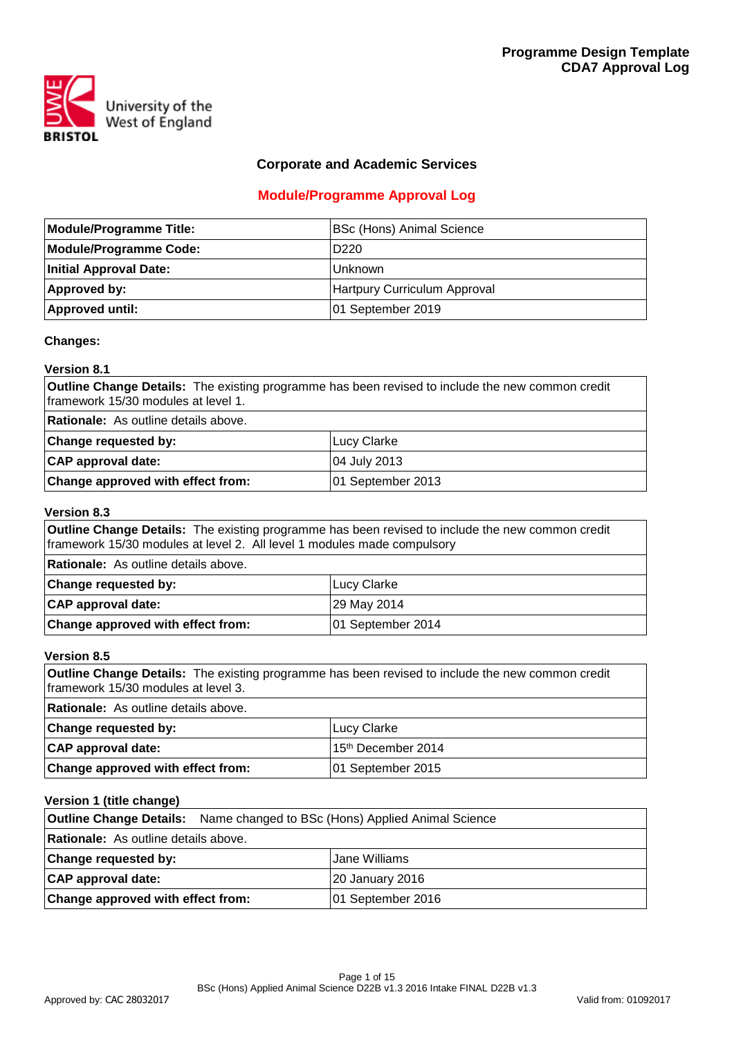

## **Corporate and Academic Services**

# **Module/Programme Approval Log**

| <b>Module/Programme Title:</b> | <b>BSc (Hons) Animal Science</b> |
|--------------------------------|----------------------------------|
| <b>Module/Programme Code:</b>  | D <sub>220</sub>                 |
| <b>Initial Approval Date:</b>  | IUnknown                         |
| Approved by:                   | Hartpury Curriculum Approval     |
| <b>Approved until:</b>         | 01 September 2019                |

## **Changes:**

# **Version 8.1 Outline Change Details:** The existing programme has been revised to include the new common credit framework 15/30 modules at level 1. **Rationale:** As outline details above.

| $\sim$ . The distribution of $\sim$ . |                   |
|---------------------------------------|-------------------|
| <b>Change requested by:</b>           | ILucv Clarke      |
| <b>CAP</b> approval date:             | 104 July 2013     |
| Change approved with effect from:     | 01 September 2013 |

#### **Version 8.3**

| <b>Outline Change Details:</b> The existing programme has been revised to include the new common credit<br>framework 15/30 modules at level 2. All level 1 modules made compulsory |                   |  |  |  |  |  |  |  |  |  |
|------------------------------------------------------------------------------------------------------------------------------------------------------------------------------------|-------------------|--|--|--|--|--|--|--|--|--|
| <b>Rationale:</b> As outline details above.                                                                                                                                        |                   |  |  |  |  |  |  |  |  |  |
| <b>Change requested by:</b>                                                                                                                                                        | Lucy Clarke       |  |  |  |  |  |  |  |  |  |
| CAP approval date:                                                                                                                                                                 | 29 May 2014       |  |  |  |  |  |  |  |  |  |
| Change approved with effect from:                                                                                                                                                  | 01 September 2014 |  |  |  |  |  |  |  |  |  |

## **Version 8.5**

| <b>Outline Change Details:</b> The existing programme has been revised to include the new common credit<br>framework 15/30 modules at level 3. |                                |  |  |  |  |  |  |  |  |  |
|------------------------------------------------------------------------------------------------------------------------------------------------|--------------------------------|--|--|--|--|--|--|--|--|--|
| <b>Rationale:</b> As outline details above.                                                                                                    |                                |  |  |  |  |  |  |  |  |  |
| <b>Change requested by:</b>                                                                                                                    | Lucy Clarke                    |  |  |  |  |  |  |  |  |  |
| CAP approval date:                                                                                                                             | 15 <sup>th</sup> December 2014 |  |  |  |  |  |  |  |  |  |
| Change approved with effect from:                                                                                                              | 01 September 2015              |  |  |  |  |  |  |  |  |  |

### **Version 1 (title change)**

| <b>Outline Change Details:</b> Name changed to BSc (Hons) Applied Animal Science |                        |
|----------------------------------------------------------------------------------|------------------------|
| <b>Rationale:</b> As outline details above.                                      |                        |
| <b>Change requested by:</b>                                                      | Jane Williams          |
| CAP approval date:                                                               | <b>20 January 2016</b> |
| Change approved with effect from:                                                | 01 September 2016      |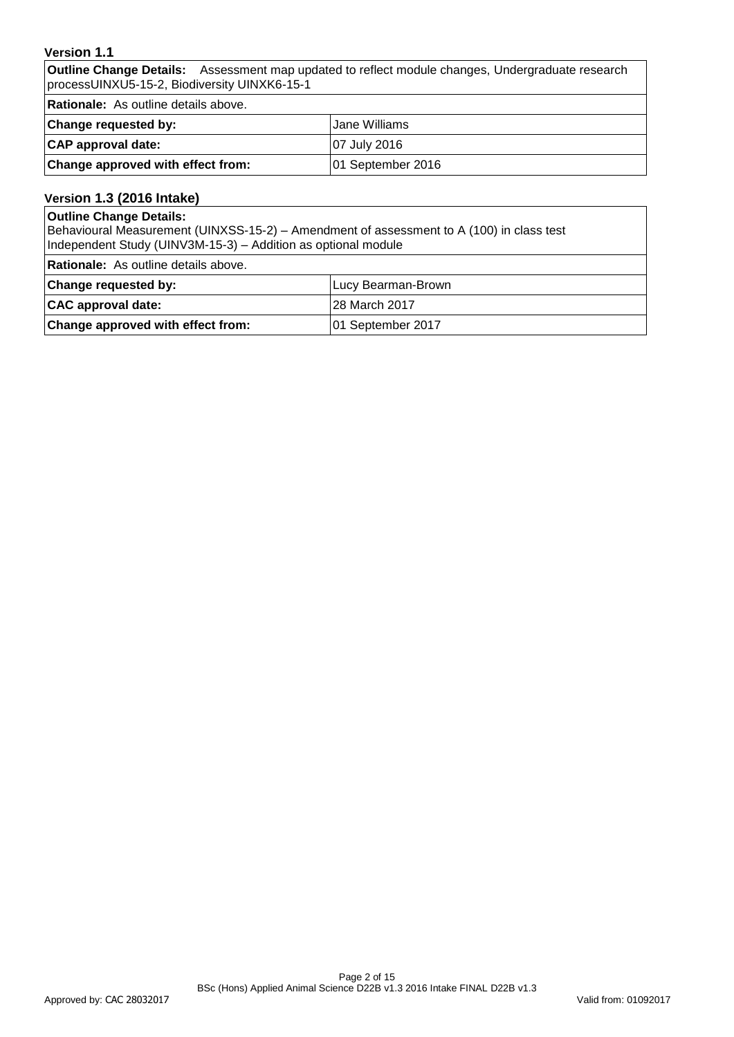### **Version 1.1**

**Outline Change Details:** Assessment map updated to reflect module changes, Undergraduate research processUINXU5-15-2, Biodiversity UINXK6-15-1

**Rationale:** As outline details above.

| <b>Change requested by:</b>       | Jane Williams       |
|-----------------------------------|---------------------|
| CAP approval date:                | <b>07 July 2016</b> |
| Change approved with effect from: | 01 September 2016   |

# **Version 1.3 (2016 Intake)**

#### **Outline Change Details:**

Behavioural Measurement (UINXSS-15-2) – Amendment of assessment to A (100) in class test Independent Study (UINV3M-15-3) – Addition as optional module

**Rationale:** As outline details above.

| Change requested by:              | Lucy Bearman-Brown |
|-----------------------------------|--------------------|
| CAC approval date:                | 28 March 2017      |
| Change approved with effect from: | 01 September 2017  |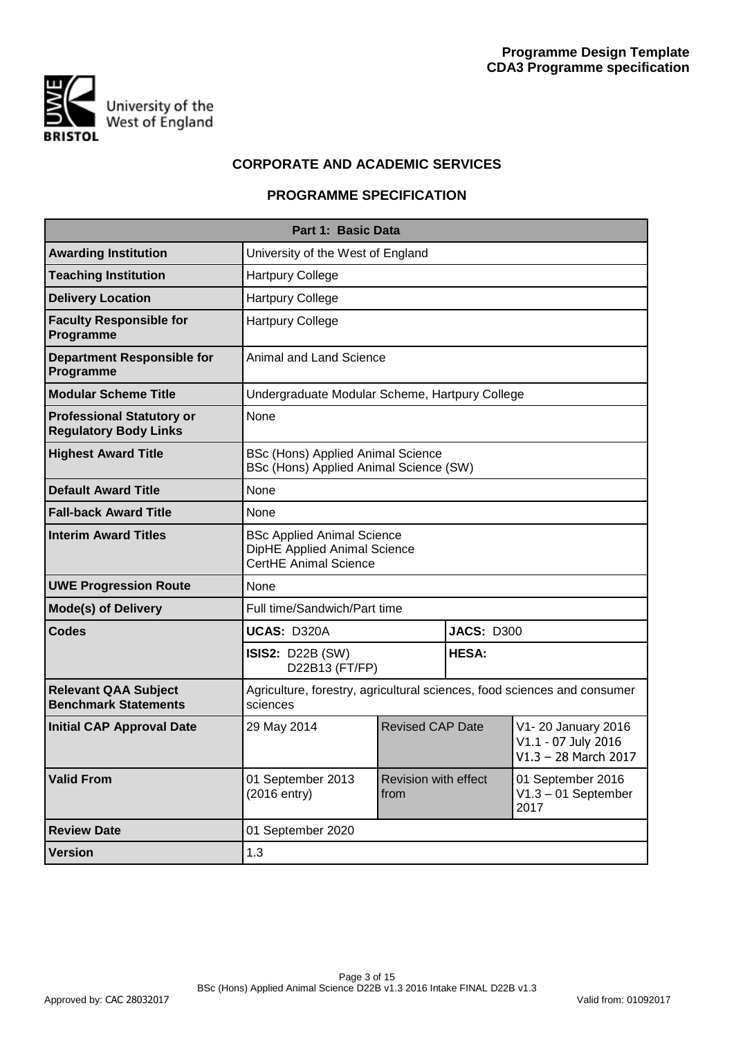

# **CORPORATE AND ACADEMIC SERVICES**

## **PROGRAMME SPECIFICATION**

|                                                                  | Part 1: Basic Data                                                                                |                              |                   |                                                                     |
|------------------------------------------------------------------|---------------------------------------------------------------------------------------------------|------------------------------|-------------------|---------------------------------------------------------------------|
| <b>Awarding Institution</b>                                      | University of the West of England                                                                 |                              |                   |                                                                     |
| <b>Teaching Institution</b>                                      | <b>Hartpury College</b>                                                                           |                              |                   |                                                                     |
| <b>Delivery Location</b>                                         | <b>Hartpury College</b>                                                                           |                              |                   |                                                                     |
| <b>Faculty Responsible for</b><br>Programme                      | <b>Hartpury College</b>                                                                           |                              |                   |                                                                     |
| <b>Department Responsible for</b><br>Programme                   | <b>Animal and Land Science</b>                                                                    |                              |                   |                                                                     |
| <b>Modular Scheme Title</b>                                      | Undergraduate Modular Scheme, Hartpury College                                                    |                              |                   |                                                                     |
| <b>Professional Statutory or</b><br><b>Regulatory Body Links</b> | <b>None</b>                                                                                       |                              |                   |                                                                     |
| <b>Highest Award Title</b>                                       | BSc (Hons) Applied Animal Science<br>BSc (Hons) Applied Animal Science (SW)                       |                              |                   |                                                                     |
| <b>Default Award Title</b>                                       | None                                                                                              |                              |                   |                                                                     |
| <b>Fall-back Award Title</b>                                     | None                                                                                              |                              |                   |                                                                     |
| <b>Interim Award Titles</b>                                      | <b>BSc Applied Animal Science</b><br>DipHE Applied Animal Science<br><b>CertHE Animal Science</b> |                              |                   |                                                                     |
| <b>UWE Progression Route</b>                                     | None                                                                                              |                              |                   |                                                                     |
| <b>Mode(s) of Delivery</b>                                       | Full time/Sandwich/Part time                                                                      |                              |                   |                                                                     |
| <b>Codes</b>                                                     | UCAS: D320A                                                                                       |                              | <b>JACS: D300</b> |                                                                     |
|                                                                  | <b>ISIS2: D22B (SW)</b><br>D22B13 (FT/FP)                                                         |                              | <b>HESA:</b>      |                                                                     |
| <b>Relevant QAA Subject</b><br><b>Benchmark Statements</b>       | Agriculture, forestry, agricultural sciences, food sciences and consumer<br>sciences              |                              |                   |                                                                     |
| Initial CAP Approval Date                                        | 29 May 2014                                                                                       | <b>Revised CAP Date</b>      |                   | V1-20 January 2016<br>V1.1 - 07 July 2016<br>$V1.3 - 28$ March 2017 |
| <b>Valid From</b>                                                | 01 September 2013<br>(2016 entry)                                                                 | Revision with effect<br>from |                   | 01 September 2016<br>$V1.3 - 01$ September<br>2017                  |
| <b>Review Date</b>                                               | 01 September 2020                                                                                 |                              |                   |                                                                     |
| <b>Version</b>                                                   | 1.3                                                                                               |                              |                   |                                                                     |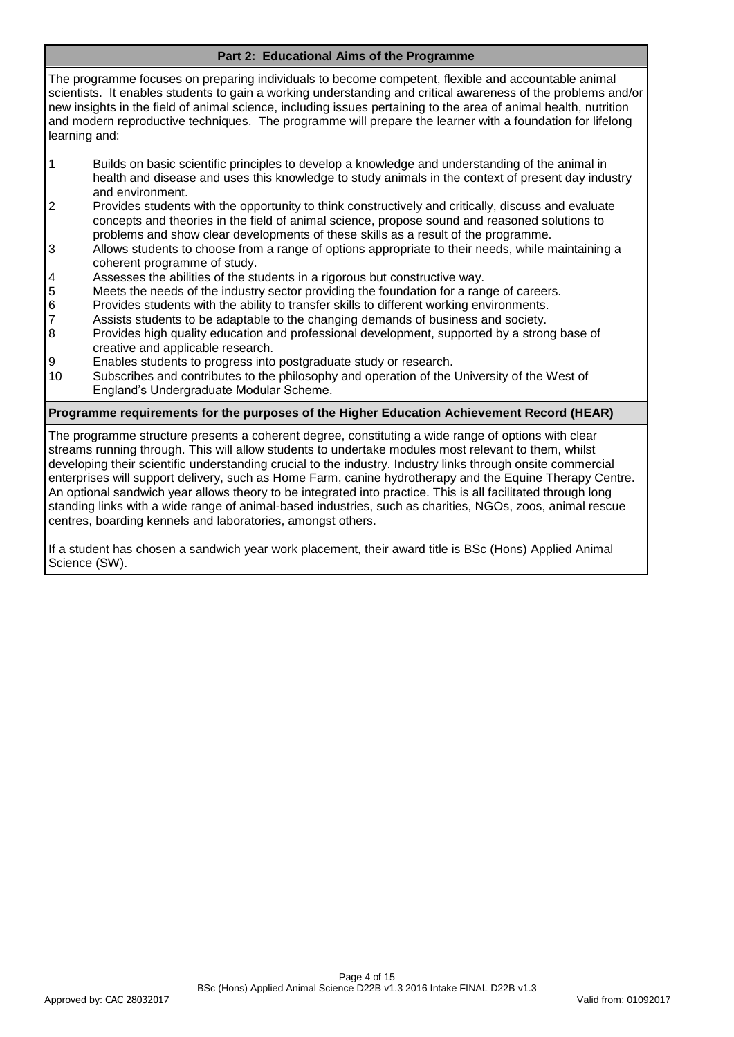## **Part 2: Educational Aims of the Programme**

The programme focuses on preparing individuals to become competent, flexible and accountable animal scientists. It enables students to gain a working understanding and critical awareness of the problems and/or new insights in the field of animal science, including issues pertaining to the area of animal health, nutrition and modern reproductive techniques. The programme will prepare the learner with a foundation for lifelong learning and:

- 1 Builds on basic scientific principles to develop a knowledge and understanding of the animal in health and disease and uses this knowledge to study animals in the context of present day industry and environment.
- 2 Provides students with the opportunity to think constructively and critically, discuss and evaluate concepts and theories in the field of animal science, propose sound and reasoned solutions to problems and show clear developments of these skills as a result of the programme.
- 3 Allows students to choose from a range of options appropriate to their needs, while maintaining a coherent programme of study.
- 4 Assesses the abilities of the students in a rigorous but constructive way.
- 5 Meets the needs of the industry sector providing the foundation for a range of careers.
- 6 Provides students with the ability to transfer skills to different working environments.
- 7 Assists students to be adaptable to the changing demands of business and society.<br>8 Provides high quality education and professional development, supported by a stron
- Provides high quality education and professional development, supported by a strong base of creative and applicable research.
- 9 Enables students to progress into postgraduate study or research.
- 10 Subscribes and contributes to the philosophy and operation of the University of the West of England's Undergraduate Modular Scheme.

#### **Programme requirements for the purposes of the Higher Education Achievement Record (HEAR)**

The programme structure presents a coherent degree, constituting a wide range of options with clear streams running through. This will allow students to undertake modules most relevant to them, whilst developing their scientific understanding crucial to the industry. Industry links through onsite commercial enterprises will support delivery, such as Home Farm, canine hydrotherapy and the Equine Therapy Centre. An optional sandwich year allows theory to be integrated into practice. This is all facilitated through long standing links with a wide range of animal-based industries, such as charities, NGOs, zoos, animal rescue centres, boarding kennels and laboratories, amongst others.

If a student has chosen a sandwich year work placement, their award title is BSc (Hons) Applied Animal Science (SW).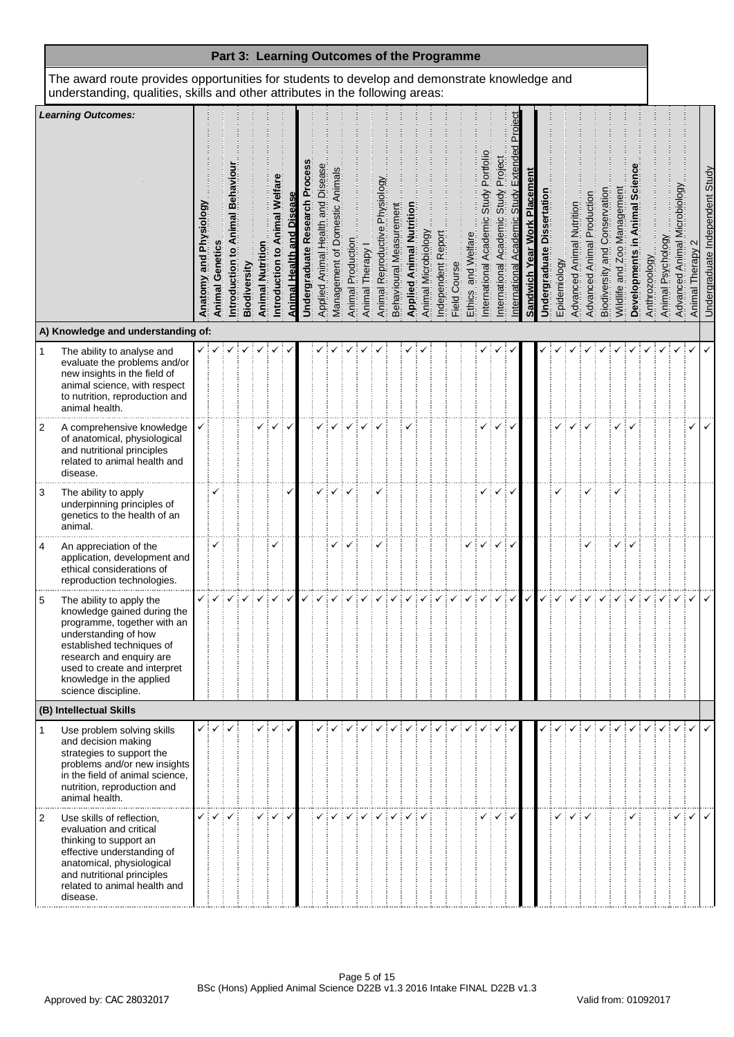|                |                                                                                                                                                                                                                                                            |                                        |                    |              |                    |                           |                   |                                |                                     |                                |                   |                | Part 3: Learning Outcomes of the Programme |                         |                                 |                     |                   |              |                            |                                           |                                            |                                     |                                |                                      |              |                                    |                               |                                   |                                |              |               |                   |                                 |                       |                                 |
|----------------|------------------------------------------------------------------------------------------------------------------------------------------------------------------------------------------------------------------------------------------------------------|----------------------------------------|--------------------|--------------|--------------------|---------------------------|-------------------|--------------------------------|-------------------------------------|--------------------------------|-------------------|----------------|--------------------------------------------|-------------------------|---------------------------------|---------------------|-------------------|--------------|----------------------------|-------------------------------------------|--------------------------------------------|-------------------------------------|--------------------------------|--------------------------------------|--------------|------------------------------------|-------------------------------|-----------------------------------|--------------------------------|--------------|---------------|-------------------|---------------------------------|-----------------------|---------------------------------|
|                | The award route provides opportunities for students to develop and demonstrate knowledge and<br>understanding, qualities, skills and other attributes in the following areas:                                                                              |                                        |                    |              |                    |                           |                   |                                |                                     |                                |                   |                |                                            |                         |                                 |                     |                   |              |                            |                                           |                                            |                                     |                                |                                      |              |                                    |                               |                                   |                                |              |               |                   |                                 |                       |                                 |
|                | <b>Learning Outcomes:</b>                                                                                                                                                                                                                                  | Physiology<br>$\frac{1}{2}$<br>Anatomy | Genetics<br>Animal | Biodiversity | Nutritio<br>Animal | Welfa<br>õ<br>ntroduction | Animal Health and | Ö<br>Research<br>Undergraduate | Diseas<br>Applied Animal Health and | Management of Domestic Animals | Animal Production | Animal Therapy | <b>Physiology</b><br>Animal Reproductive   | Behavioural Measurement | <b>Applied Animal Nutrition</b> | Animal Microbiology | ndependent Report | Field Course | and Welfa<br><b>Ethics</b> | Portfoll<br>Study<br>nternational Academi | Project<br>Study<br>Academ<br>nternational | Projec<br>Extenc<br>迈<br>ernational | Placemen<br>Sandwich Year Work | Dissertation<br><b>Jndergraduate</b> | Epidemiology | Nutritio<br><b>Advanced Animal</b> | Production<br>Advanced Animal | Conservati<br>and<br>Biodiversity | Management<br>Wildlife and Zoo | Developments | Anthrozoology | Animal Psychology | crobiology<br>Advanced Animal M | <b>Animal Therapy</b> | Undergraduate Independent Study |
|                | A) Knowledge and understanding of:                                                                                                                                                                                                                         |                                        |                    |              |                    |                           |                   |                                |                                     |                                |                   |                |                                            |                         |                                 |                     |                   |              |                            |                                           |                                            |                                     |                                |                                      |              |                                    |                               |                                   |                                |              |               |                   |                                 |                       |                                 |
| 1              | The ability to analyse and<br>evaluate the problems and/or<br>new insights in the field of<br>animal science, with respect<br>to nutrition, reproduction and<br>animal health.                                                                             |                                        |                    |              |                    |                           |                   |                                |                                     |                                |                   |                |                                            |                         |                                 |                     |                   |              |                            |                                           |                                            |                                     |                                |                                      |              |                                    |                               |                                   |                                |              |               |                   |                                 |                       |                                 |
| 2              | A comprehensive knowledge<br>of anatomical, physiological<br>and nutritional principles<br>related to animal health and<br>disease.                                                                                                                        |                                        |                    |              |                    |                           |                   |                                |                                     |                                |                   |                |                                            |                         |                                 |                     |                   |              |                            |                                           |                                            |                                     |                                |                                      |              |                                    |                               |                                   |                                |              |               |                   |                                 |                       |                                 |
| 3              | The ability to apply<br>underpinning principles of<br>genetics to the health of an<br>animal.                                                                                                                                                              |                                        |                    |              |                    |                           |                   |                                |                                     |                                |                   |                |                                            |                         |                                 |                     |                   |              |                            |                                           |                                            | ✓                                   |                                |                                      |              |                                    |                               |                                   |                                |              |               |                   |                                 |                       |                                 |
| 4              | An appreciation of the<br>application, development and<br>ethical considerations of<br>reproduction technologies.                                                                                                                                          |                                        |                    |              |                    |                           |                   |                                |                                     |                                |                   |                |                                            |                         |                                 |                     |                   |              |                            |                                           |                                            |                                     |                                |                                      |              |                                    |                               |                                   |                                |              |               |                   |                                 |                       |                                 |
|                | The ability to apply the<br>knowledge gained during the<br>programme, together with an<br>understanding of how<br>established techniques of<br>research and enquiry are<br>used to create and interpret<br>knowledge in the applied<br>science discipline. |                                        |                    |              |                    |                           |                   |                                |                                     |                                |                   |                |                                            |                         |                                 |                     |                   |              |                            |                                           |                                            |                                     |                                |                                      |              |                                    |                               |                                   |                                |              |               |                   |                                 |                       |                                 |
|                | (B) Intellectual Skills                                                                                                                                                                                                                                    |                                        |                    |              |                    |                           |                   |                                |                                     |                                |                   |                |                                            |                         |                                 |                     |                   |              |                            |                                           |                                            |                                     |                                |                                      |              |                                    |                               |                                   |                                |              |               |                   |                                 |                       |                                 |
| $\mathbf{1}$   | Use problem solving skills<br>and decision making<br>strategies to support the<br>problems and/or new insights<br>in the field of animal science,<br>nutrition, reproduction and<br>animal health.                                                         | ✓                                      |                    |              |                    |                           |                   |                                |                                     |                                |                   |                |                                            |                         |                                 |                     |                   |              |                            |                                           |                                            |                                     |                                |                                      |              |                                    |                               |                                   |                                |              |               |                   |                                 |                       |                                 |
| $\overline{2}$ | Use skills of reflection,<br>evaluation and critical<br>thinking to support an<br>effective understanding of<br>anatomical, physiological<br>and nutritional principles<br>related to animal health and<br>disease.                                        |                                        |                    |              |                    |                           |                   |                                |                                     |                                |                   |                |                                            |                         |                                 |                     |                   |              |                            |                                           |                                            |                                     |                                |                                      |              |                                    |                               |                                   |                                |              |               |                   |                                 |                       | ✓                               |

. . . . . .

. . . . . . . . . . .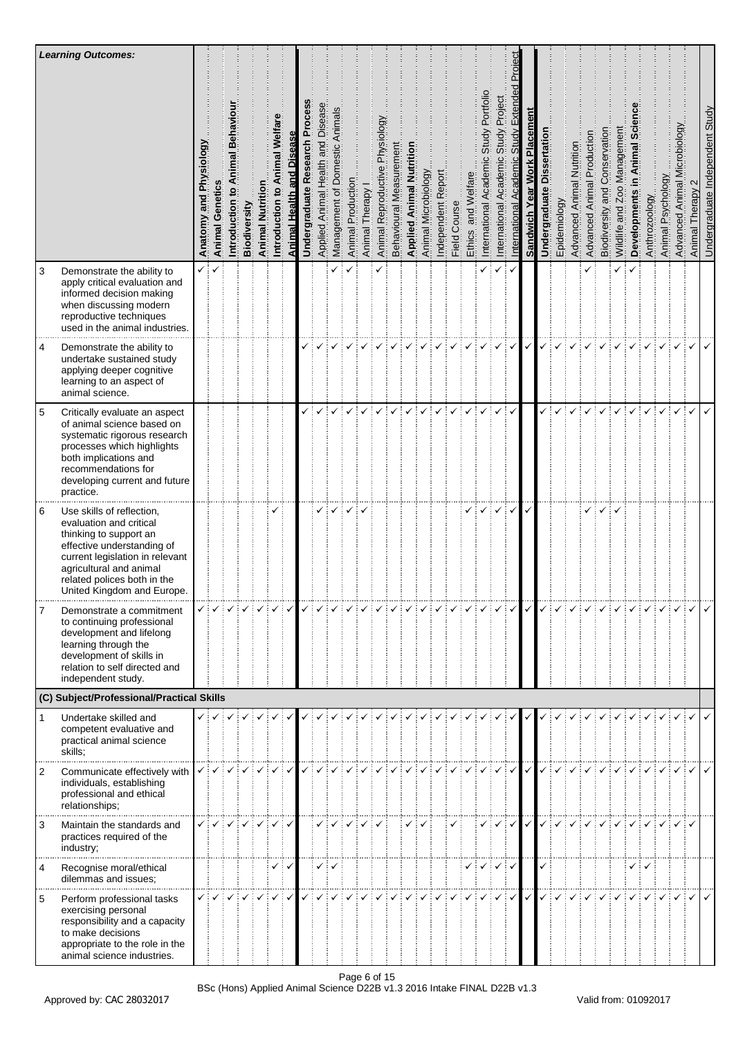| 3              | <b>Learning Outcomes:</b><br>Demonstrate the ability to                                                                                                                                                                                 | Anatomy and Physiology<br>✓┊ | <b>Animal Genetics</b><br>$\checkmark$ | Introduction | Biodiversity                       | Nutriti<br>Animal I | imal Welfar<br>$\overline{\mathbf{c}}$<br>Introduction | Animal Health and Disease | ဒ်ခော<br>՟<br>Research<br>Undergraduate | Applied Animal Health and Disease | Management of Domestic Animals<br>✓ | Animal Production | Animal Therapy | Physiology<br>Animal Reproductive | Behavioural Measurement | <b>Applied Animal Nutrition</b> | Animal Microbiology | Independent Report | Field Course | and Welfare<br>Ethics | Portfolio<br>Study<br>International Academic<br>✓ | Project<br>Study<br>Academic<br>International<br>✓               | roie<br>௳<br>Extend<br>Study<br>International Academic<br>✓ | Placement<br><b>Sandwich Year Work</b> | <b>Dissertation</b><br>Undergraduate | Epidemiology | Nutrition<br>Advanced Animal | Production<br>Advanced Animal | and Conservation<br>Biodiversity | Management<br>Wildlife and Zoo<br>✓ | ξĪ<br>Developments | Anthrozoology | Animal Psychology | crobiology<br>Advanced Animal M | Animal Therapy                         | Undergraduate Independent Study |
|----------------|-----------------------------------------------------------------------------------------------------------------------------------------------------------------------------------------------------------------------------------------|------------------------------|----------------------------------------|--------------|------------------------------------|---------------------|--------------------------------------------------------|---------------------------|-----------------------------------------|-----------------------------------|-------------------------------------|-------------------|----------------|-----------------------------------|-------------------------|---------------------------------|---------------------|--------------------|--------------|-----------------------|---------------------------------------------------|------------------------------------------------------------------|-------------------------------------------------------------|----------------------------------------|--------------------------------------|--------------|------------------------------|-------------------------------|----------------------------------|-------------------------------------|--------------------|---------------|-------------------|---------------------------------|----------------------------------------|---------------------------------|
|                | apply critical evaluation and<br>informed decision making<br>when discussing modern<br>reproductive techniques<br>used in the animal industries.                                                                                        |                              |                                        |              |                                    |                     |                                                        |                           |                                         |                                   |                                     |                   |                |                                   |                         |                                 |                     |                    |              |                       |                                                   |                                                                  |                                                             |                                        |                                      |              |                              |                               |                                  |                                     |                    |               |                   |                                 |                                        |                                 |
| 4              | Demonstrate the ability to<br>undertake sustained study<br>applying deeper cognitive<br>learning to an aspect of<br>animal science.                                                                                                     |                              |                                        |              |                                    |                     |                                                        |                           |                                         |                                   |                                     |                   |                |                                   |                         |                                 |                     |                    |              |                       |                                                   |                                                                  | $\checkmark$                                                | $\checkmark$                           |                                      |              |                              |                               |                                  |                                     |                    |               |                   |                                 |                                        |                                 |
| $\overline{5}$ | Critically evaluate an aspect<br>of animal science based on<br>systematic rigorous research<br>processes which highlights<br>both implications and<br>recommendations for<br>developing current and future<br>practice.                 |                              |                                        |              |                                    |                     |                                                        |                           |                                         |                                   |                                     |                   |                |                                   |                         |                                 |                     |                    |              |                       |                                                   |                                                                  | ✓                                                           |                                        |                                      |              |                              |                               |                                  |                                     |                    |               |                   |                                 |                                        |                                 |
| 6              | Use skills of reflection,<br>evaluation and critical<br>thinking to support an<br>effective understanding of<br>current legislation in relevant<br>agricultural and animal<br>related polices both in the<br>United Kingdom and Europe. |                              |                                        |              |                                    |                     | ✓                                                      |                           |                                         |                                   |                                     |                   |                |                                   |                         |                                 |                     |                    |              |                       |                                                   | ✓                                                                | ✓                                                           | $\checkmark$                           |                                      |              |                              |                               |                                  |                                     |                    |               |                   |                                 |                                        |                                 |
| 7              | Demonstrate a commitment<br>to continuing professional<br>development and lifelong<br>learning through the<br>development of skills in<br>relation to self directed and<br>independent study.                                           |                              | $\checkmark$ : $\checkmark$ :          |              | $\checkmark:\checkmark:\checkmark$ |                     | $\sqrt{2}$                                             |                           |                                         |                                   |                                     |                   |                |                                   |                         |                                 |                     |                    |              |                       |                                                   | $\checkmark$ $\checkmark$ $\checkmark$ $\checkmark$ $\checkmark$ |                                                             |                                        |                                      |              |                              |                               |                                  |                                     |                    |               |                   |                                 | $\checkmark$ $\checkmark$ $\checkmark$ |                                 |
|                | (C) Subject/Professional/Practical Skills                                                                                                                                                                                               |                              |                                        |              |                                    |                     |                                                        |                           |                                         |                                   |                                     |                   |                |                                   |                         |                                 |                     |                    |              |                       |                                                   |                                                                  |                                                             |                                        |                                      |              |                              |                               |                                  |                                     |                    |               |                   |                                 |                                        |                                 |
| $\mathbf{1}$   | Undertake skilled and<br>competent evaluative and<br>practical animal science<br>skills;                                                                                                                                                |                              | $\checkmark$ $\checkmark$ :            |              | $\checkmark$ : $\checkmark$ :      |                     | ✓┊✓                                                    | $\checkmark$              |                                         |                                   |                                     |                   |                |                                   |                         |                                 |                     |                    | ✓            |                       |                                                   |                                                                  | ✓                                                           |                                        |                                      |              |                              |                               |                                  |                                     |                    |               |                   |                                 |                                        |                                 |
| $\overline{2}$ | Communicate effectively with<br>individuals, establishing<br>professional and ethical<br>relationships;                                                                                                                                 | $\checkmark$                 |                                        |              |                                    |                     |                                                        |                           |                                         |                                   |                                     |                   |                |                                   |                         |                                 |                     |                    |              |                       |                                                   |                                                                  | $\checkmark$                                                |                                        |                                      |              |                              |                               |                                  |                                     |                    |               |                   |                                 |                                        |                                 |
| 3              | Maintain the standards and<br>practices required of the<br>industry;                                                                                                                                                                    |                              | $\checkmark$ $\checkmark$ :            |              | $\checkmark$ is $\checkmark$       | $\checkmark$        | $\checkmark$                                           | $\checkmark$              |                                         |                                   |                                     |                   |                |                                   |                         |                                 |                     |                    |              |                       |                                                   | ✓┊                                                               | $\checkmark$                                                | $\checkmark$                           | ✓                                    |              |                              |                               |                                  |                                     |                    |               |                   |                                 |                                        |                                 |
| 4              | Recognise moral/ethical<br>dilemmas and issues;                                                                                                                                                                                         |                              |                                        |              |                                    |                     |                                                        | ✓┊✓                       |                                         |                                   | ✓┊✓                                 |                   |                |                                   |                         |                                 |                     |                    |              |                       |                                                   | $\checkmark$ $\checkmark$ $\checkmark$ $\checkmark$              |                                                             |                                        |                                      |              |                              |                               |                                  |                                     | ✓┊✓                |               |                   |                                 |                                        |                                 |
| 5              | Perform professional tasks<br>exercising personal<br>responsibility and a capacity<br>to make decisions<br>appropriate to the role in the<br>animal science industries.                                                                 | ✓┊                           |                                        |              |                                    |                     | ✓                                                      | $\checkmark$              |                                         |                                   |                                     |                   |                |                                   |                         |                                 |                     |                    |              |                       |                                                   |                                                                  | $\checkmark$                                                | $\checkmark$                           | ✓                                    |              |                              |                               |                                  |                                     |                    |               |                   |                                 |                                        |                                 |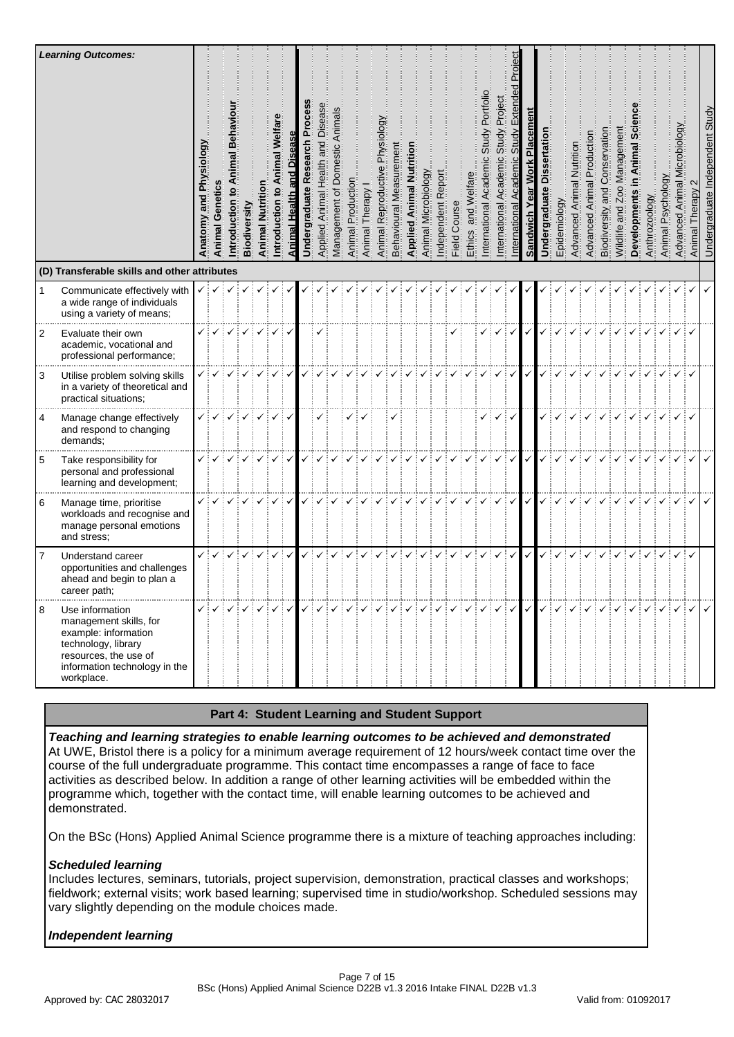|   | <b>Learning Outcomes:</b><br>(D) Transferable skills and other attributes                                                                                        | § | Geneti<br>Animal                                                                           |    | Biodiversity | Animal       | <b>T</b><br>ntroduction | <u>\nimal Health</u> | Research<br><b>Undergraduate</b> | Disease<br>Health and<br><b>Applied Animal</b> | of Domestic Animals<br>Management | Production<br>Animal | Therapy<br>Animal | Physiology<br>Reproductive<br>Animal | rement<br>Measu<br>Behavioural | <b>Animal Nut</b><br>Applied | Animal Microbiology | Repor<br>ndependent | Course<br>Field | and Well<br>Ethics                                                                                                                                                                                                                                                                                                                                                                                                                                          | Portfoll<br>Study<br>Academ<br>nternational | Project<br>Study<br>$\mathbf{\circ}$<br>Academ<br>nternational | α            | Placemen<br><b>Work</b><br>Sandwich Year | Dissertation<br>Jndergraduate | Epidemiology | Nutrition<br>Advanced Animal | Production<br>Animal<br>Advanced | Conservatio<br>and<br>Biodiversity | Management<br>200<br>Wildlife and | lopment<br>Devel | Anthrozoology | Psychol<br>Animal | K6opi<br>ē<br>⋝<br>Animal | Therapy<br>Animal                                                                                                                                                                                                                                                                                                                                                                                                     | Undergraduate Independent Study |
|---|------------------------------------------------------------------------------------------------------------------------------------------------------------------|---|--------------------------------------------------------------------------------------------|----|--------------|--------------|-------------------------|----------------------|----------------------------------|------------------------------------------------|-----------------------------------|----------------------|-------------------|--------------------------------------|--------------------------------|------------------------------|---------------------|---------------------|-----------------|-------------------------------------------------------------------------------------------------------------------------------------------------------------------------------------------------------------------------------------------------------------------------------------------------------------------------------------------------------------------------------------------------------------------------------------------------------------|---------------------------------------------|----------------------------------------------------------------|--------------|------------------------------------------|-------------------------------|--------------|------------------------------|----------------------------------|------------------------------------|-----------------------------------|------------------|---------------|-------------------|---------------------------|-----------------------------------------------------------------------------------------------------------------------------------------------------------------------------------------------------------------------------------------------------------------------------------------------------------------------------------------------------------------------------------------------------------------------|---------------------------------|
| 1 | Communicate effectively with                                                                                                                                     |   | $\checkmark$ $\checkmark$ $\checkmark$ $\checkmark$                                        |    |              |              |                         |                      |                                  |                                                |                                   |                      |                   |                                      |                                |                              |                     |                     |                 |                                                                                                                                                                                                                                                                                                                                                                                                                                                             |                                             |                                                                |              |                                          |                               |              |                              |                                  |                                    |                                   |                  |               |                   |                           |                                                                                                                                                                                                                                                                                                                                                                                                                       |                                 |
|   | a wide range of individuals<br>using a variety of means;                                                                                                         |   |                                                                                            |    |              |              |                         |                      |                                  |                                                |                                   |                      |                   |                                      |                                |                              |                     |                     |                 |                                                                                                                                                                                                                                                                                                                                                                                                                                                             |                                             |                                                                |              |                                          |                               |              |                              |                                  |                                    |                                   |                  |               |                   |                           |                                                                                                                                                                                                                                                                                                                                                                                                                       |                                 |
| 2 | Evaluate their own<br>academic, vocational and<br>professional performance;                                                                                      |   | ✓┊✓                                                                                        |    | $\checkmark$ | $\checkmark$ | ✓                       | $\checkmark$         |                                  |                                                |                                   |                      |                   |                                      |                                |                              |                     |                     | ✓               |                                                                                                                                                                                                                                                                                                                                                                                                                                                             | ✓                                           | $\checkmark$                                                   | $\checkmark$ | $\checkmark$                             |                               |              | ✓                            |                                  |                                    | ✓                                 |                  |               |                   |                           |                                                                                                                                                                                                                                                                                                                                                                                                                       |                                 |
| 3 | Utilise problem solving skills<br>in a variety of theoretical and<br>practical situations;                                                                       |   |                                                                                            |    |              |              |                         |                      |                                  |                                                |                                   |                      |                   |                                      |                                |                              |                     |                     |                 |                                                                                                                                                                                                                                                                                                                                                                                                                                                             |                                             |                                                                |              |                                          |                               |              |                              |                                  |                                    |                                   |                  |               |                   |                           |                                                                                                                                                                                                                                                                                                                                                                                                                       |                                 |
| 4 | Manage change effectively<br>and respond to changing<br>demands;                                                                                                 |   | ✓┊✓                                                                                        | ✓┊ | $\checkmark$ | $\checkmark$ | ✓                       |                      |                                  |                                                |                                   |                      |                   |                                      |                                |                              |                     |                     |                 |                                                                                                                                                                                                                                                                                                                                                                                                                                                             |                                             | ✓                                                              | ✓            |                                          |                               |              |                              |                                  |                                    |                                   | ✓                |               | $\checkmark$      | ✓┊                        |                                                                                                                                                                                                                                                                                                                                                                                                                       |                                 |
| 5 | Take responsibility for<br>personal and professional<br>learning and development;                                                                                |   |                                                                                            |    |              |              |                         |                      |                                  |                                                |                                   |                      |                   |                                      |                                |                              |                     |                     |                 |                                                                                                                                                                                                                                                                                                                                                                                                                                                             |                                             | ✓                                                              | $\checkmark$ | $\checkmark$                             | ✓                             |              |                              |                                  |                                    |                                   |                  |               |                   |                           |                                                                                                                                                                                                                                                                                                                                                                                                                       |                                 |
| 6 | Manage time, prioritise<br>workloads and recognise and<br>manage personal emotions<br>and stress;                                                                |   |                                                                                            |    |              |              | $\checkmark$            | $\checkmark$         |                                  |                                                |                                   |                      |                   |                                      |                                |                              |                     |                     |                 |                                                                                                                                                                                                                                                                                                                                                                                                                                                             |                                             | ✓                                                              | $\checkmark$ | $\checkmark$                             |                               |              |                              |                                  |                                    |                                   |                  |               |                   |                           |                                                                                                                                                                                                                                                                                                                                                                                                                       |                                 |
| 7 | Understand career<br>opportunities and challenges<br>ahead and begin to plan a<br>career path;                                                                   |   | ✓┆✓                                                                                        |    | $\checkmark$ | $\checkmark$ |                         | $\checkmark$         | ✓                                |                                                |                                   |                      |                   |                                      |                                |                              |                     |                     |                 | ✓                                                                                                                                                                                                                                                                                                                                                                                                                                                           | $\checkmark$                                | $\checkmark$                                                   | $\checkmark$ | $\checkmark$                             |                               |              |                              |                                  |                                    |                                   |                  |               |                   |                           |                                                                                                                                                                                                                                                                                                                                                                                                                       |                                 |
| 8 | Use information<br>management skills, for<br>example: information<br>technology, library<br>resources, the use of<br>information technology in the<br>workplace. |   | $\checkmark$ $\checkmark$ $\checkmark$ $\checkmark$ $\checkmark$ $\checkmark$ $\checkmark$ |    |              | $\checkmark$ |                         |                      |                                  |                                                |                                   |                      |                   |                                      |                                |                              |                     |                     |                 | $\mathcal{L}[\mathcal{L}[\mathcal{L}[\mathcal{L}[\mathcal{L}[\mathcal{L}[\mathcal{L}[\mathcal{L}[\mathcal{L}[\mathcal{L}[\mathcal{L}[\mathcal{L}[\mathcal{L}[\mathcal{L}[\mathcal{L}[\mathcal{L}[\mathcal{L}[\mathcal{L}[\mathcal{L}[\mathcal{L}[\mathcal{L}[\mathcal{L}[\mathcal{L}[\mathcal{L}[\mathcal{L}[\mathcal{L}[\mathcal{L}[\mathcal{L}[\mathcal{L}[\mathcal{L}[\mathcal{L}[\mathcal{L}[\mathcal{L}[\mathcal{L}[\mathcal{L}[\mathcal{L}[\mathcal{$ |                                             |                                                                |              |                                          |                               |              |                              |                                  |                                    |                                   |                  |               |                   |                           | $\begin{array}{c} \begin{array}{c} \sqrt{3} & \sqrt{3} \\ \sqrt{3} & \sqrt{3} \end{array} \end{array} \begin{array}{c} \begin{array}{c} \sqrt{3} & \sqrt{3} \\ \sqrt{3} & \sqrt{3} \end{array} \end{array} \begin{array}{c} \begin{array}{c} \sqrt{3} & \sqrt{3} \\ \sqrt{3} & \sqrt{3} \end{array} \end{array} \begin{array}{c} \begin{array}{c} \sqrt{3} & \sqrt{3} \\ \sqrt{3} & \sqrt{3} \end{array} \end{array}$ |                                 |

#### **Part 4: Student Learning and Student Support**

*Teaching and learning strategies to enable learning outcomes to be achieved and demonstrated* At UWE, Bristol there is a policy for a minimum average requirement of 12 hours/week contact time over the course of the full undergraduate programme. This contact time encompasses a range of face to face activities as described below. In addition a range of other learning activities will be embedded within the programme which, together with the contact time, will enable learning outcomes to be achieved and demonstrated.

On the BSc (Hons) Applied Animal Science programme there is a mixture of teaching approaches including:

### *Scheduled learning*

Includes lectures, seminars, tutorials, project supervision, demonstration, practical classes and workshops; fieldwork; external visits; work based learning; supervised time in studio/workshop. Scheduled sessions may vary slightly depending on the module choices made.

### *Independent learning*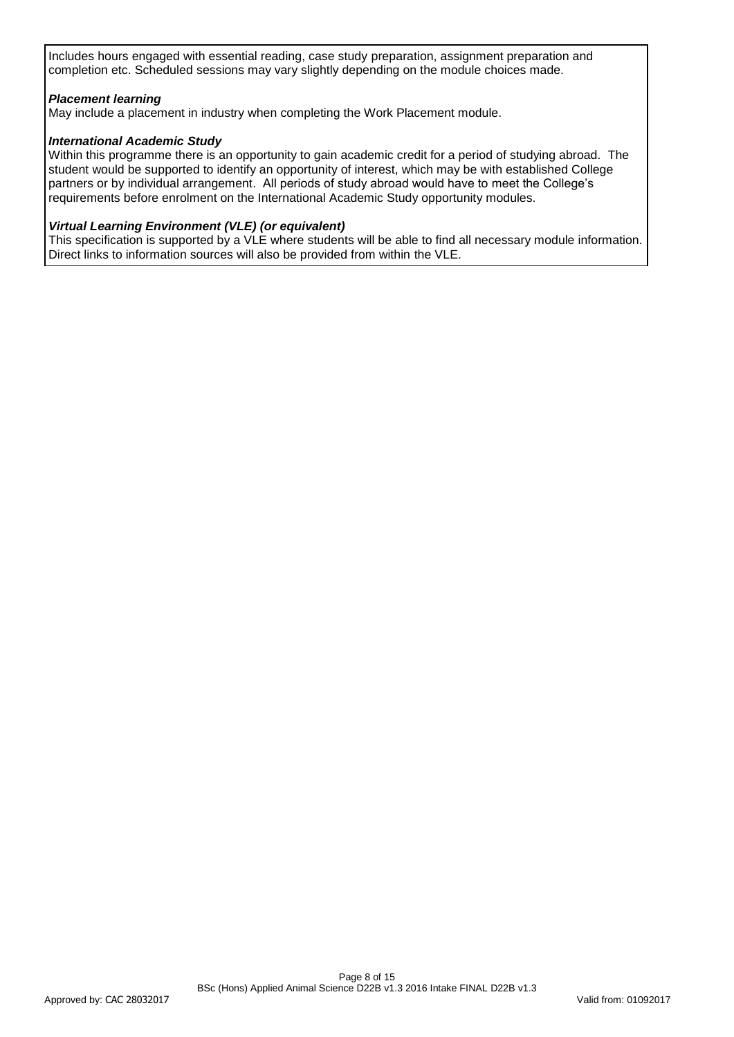Includes hours engaged with essential reading, case study preparation, assignment preparation and completion etc. Scheduled sessions may vary slightly depending on the module choices made.

## *Placement learning*

May include a placement in industry when completing the Work Placement module.

## *International Academic Study*

Within this programme there is an opportunity to gain academic credit for a period of studying abroad. The student would be supported to identify an opportunity of interest, which may be with established College partners or by individual arrangement. All periods of study abroad would have to meet the College's requirements before enrolment on the International Academic Study opportunity modules.

### *Virtual Learning Environment (VLE) (or equivalent)*

This specification is supported by a VLE where students will be able to find all necessary module information. Direct links to information sources will also be provided from within the VLE.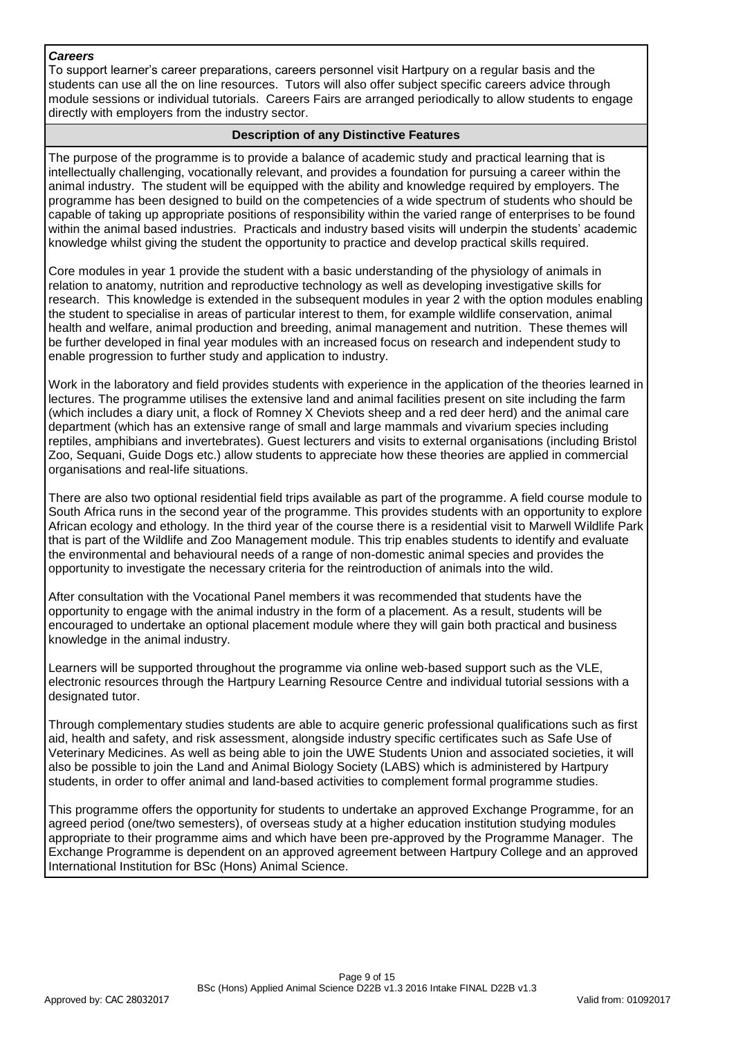#### *Careers*

To support learner's career preparations, careers personnel visit Hartpury on a regular basis and the students can use all the on line resources. Tutors will also offer subject specific careers advice through module sessions or individual tutorials. Careers Fairs are arranged periodically to allow students to engage directly with employers from the industry sector.

## **Description of any Distinctive Features**

The purpose of the programme is to provide a balance of academic study and practical learning that is intellectually challenging, vocationally relevant, and provides a foundation for pursuing a career within the animal industry. The student will be equipped with the ability and knowledge required by employers. The programme has been designed to build on the competencies of a wide spectrum of students who should be capable of taking up appropriate positions of responsibility within the varied range of enterprises to be found within the animal based industries. Practicals and industry based visits will underpin the students' academic knowledge whilst giving the student the opportunity to practice and develop practical skills required.

Core modules in year 1 provide the student with a basic understanding of the physiology of animals in relation to anatomy, nutrition and reproductive technology as well as developing investigative skills for research. This knowledge is extended in the subsequent modules in year 2 with the option modules enabling the student to specialise in areas of particular interest to them, for example wildlife conservation, animal health and welfare, animal production and breeding, animal management and nutrition. These themes will be further developed in final year modules with an increased focus on research and independent study to enable progression to further study and application to industry.

Work in the laboratory and field provides students with experience in the application of the theories learned in lectures. The programme utilises the extensive land and animal facilities present on site including the farm (which includes a diary unit, a flock of Romney X Cheviots sheep and a red deer herd) and the animal care department (which has an extensive range of small and large mammals and vivarium species including reptiles, amphibians and invertebrates). Guest lecturers and visits to external organisations (including Bristol Zoo, Sequani, Guide Dogs etc.) allow students to appreciate how these theories are applied in commercial organisations and real-life situations.

There are also two optional residential field trips available as part of the programme. A field course module to South Africa runs in the second year of the programme. This provides students with an opportunity to explore African ecology and ethology. In the third year of the course there is a residential visit to Marwell Wildlife Park that is part of the Wildlife and Zoo Management module. This trip enables students to identify and evaluate the environmental and behavioural needs of a range of non-domestic animal species and provides the opportunity to investigate the necessary criteria for the reintroduction of animals into the wild.

After consultation with the Vocational Panel members it was recommended that students have the opportunity to engage with the animal industry in the form of a placement. As a result, students will be encouraged to undertake an optional placement module where they will gain both practical and business knowledge in the animal industry.

Learners will be supported throughout the programme via online web-based support such as the VLE, electronic resources through the Hartpury Learning Resource Centre and individual tutorial sessions with a designated tutor.

Through complementary studies students are able to acquire generic professional qualifications such as first aid, health and safety, and risk assessment, alongside industry specific certificates such as Safe Use of Veterinary Medicines. As well as being able to join the UWE Students Union and associated societies, it will also be possible to join the Land and Animal Biology Society (LABS) which is administered by Hartpury students, in order to offer animal and land-based activities to complement formal programme studies.

This programme offers the opportunity for students to undertake an approved Exchange Programme, for an agreed period (one/two semesters), of overseas study at a higher education institution studying modules appropriate to their programme aims and which have been pre-approved by the Programme Manager. The Exchange Programme is dependent on an approved agreement between Hartpury College and an approved International Institution for BSc (Hons) Animal Science.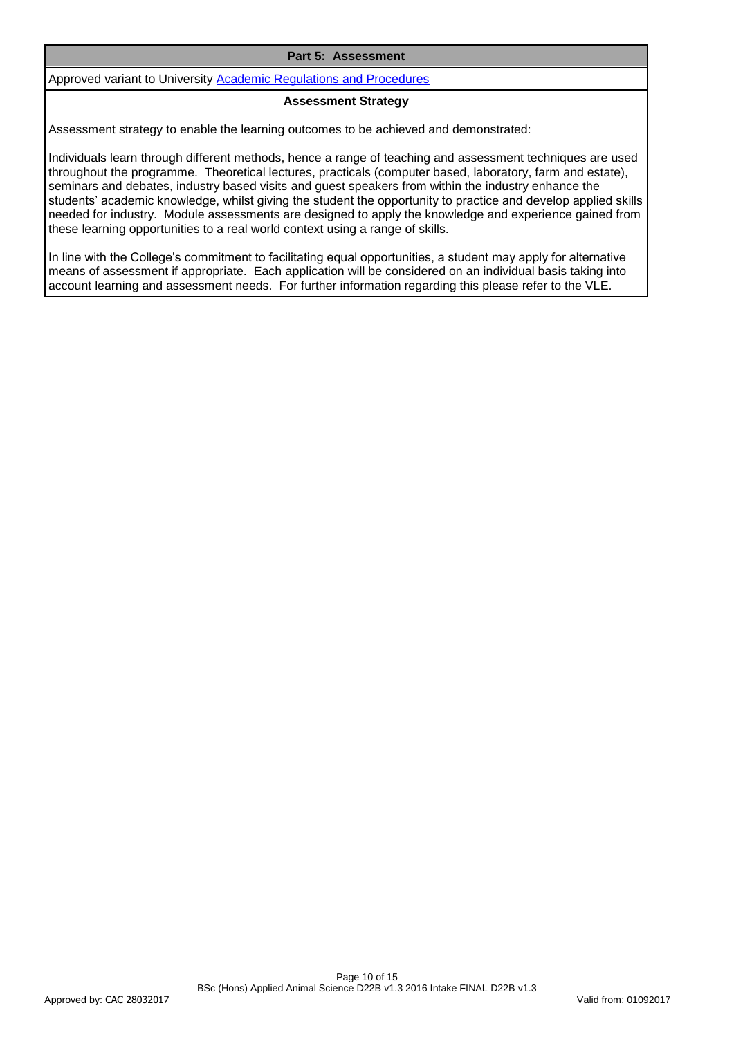#### **Part 5: Assessment**

Approved variant to University [Academic Regulations and Procedures](http://www1.uwe.ac.uk/students/academicadvice/assessments/regulationsandprocedures.aspx)

#### **Assessment Strategy**

Assessment strategy to enable the learning outcomes to be achieved and demonstrated:

Individuals learn through different methods, hence a range of teaching and assessment techniques are used throughout the programme. Theoretical lectures, practicals (computer based, laboratory, farm and estate), seminars and debates, industry based visits and guest speakers from within the industry enhance the students' academic knowledge, whilst giving the student the opportunity to practice and develop applied skills needed for industry. Module assessments are designed to apply the knowledge and experience gained from these learning opportunities to a real world context using a range of skills.

In line with the College's commitment to facilitating equal opportunities, a student may apply for alternative means of assessment if appropriate. Each application will be considered on an individual basis taking into account learning and assessment needs. For further information regarding this please refer to the VLE.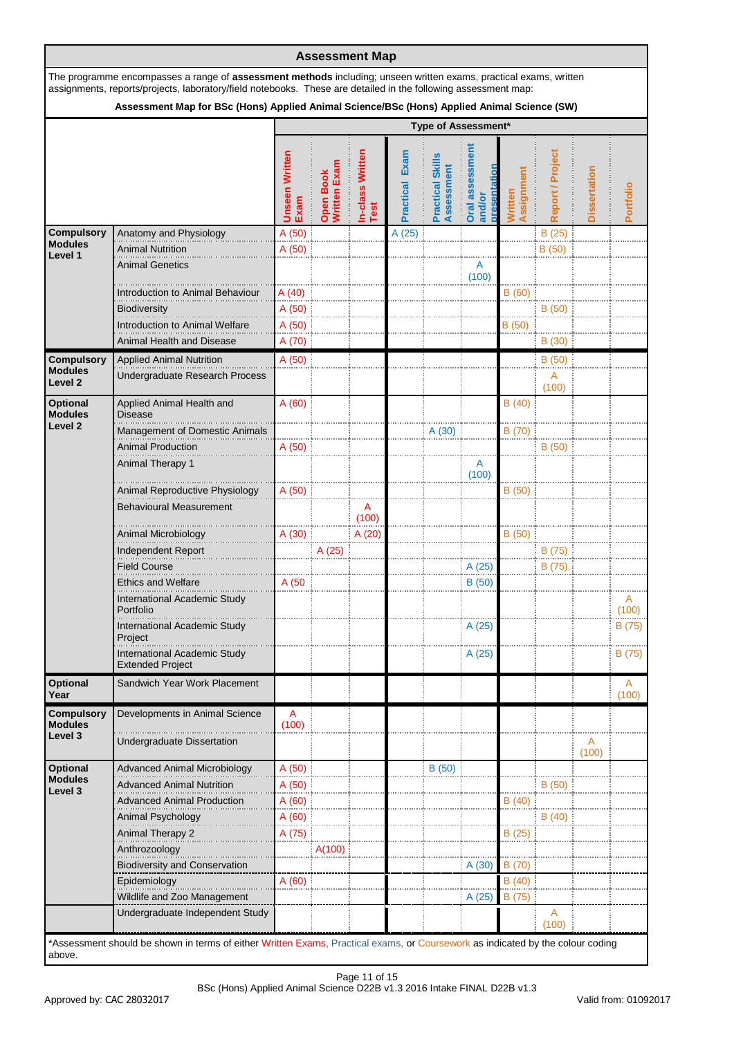| <b>Compulsory</b><br><b>Modules</b><br>Level 1<br>Biodiversity<br><b>Compulsory</b><br><b>Modules</b><br>Level <sub>2</sub><br><b>Optional</b><br>Modules<br><b>Disease</b> | assignments, reports/projects, laboratory/field notebooks. These are detailed in the following assessment map:<br>Assessment Map for BSc (Hons) Applied Animal Science/BSc (Hons) Applied Animal Science (SW)<br>Anatomy and Physiology<br><b>Animal Nutrition</b><br><b>Animal Genetics</b><br>Introduction to Animal Behaviour<br><b>Introduction to Animal Welfare</b><br>Animal Health and Disease<br><b>Applied Animal Nutrition</b><br>Undergraduate Research Process<br>Applied Animal Health and | <b>Unseen Written</b><br>Exam<br>A (50)<br>A (50)<br>A (40)<br>A(50)<br>A (50)<br>A (70)<br>A (50)<br>A(60) | Open Book<br>Written Exam | In-class Written<br>Test | Practical Exam<br>A (25) | Type of Assessment*<br><b>Practical Skills</b><br>Assessment | <b>Oral assessment</b><br>and/or<br>Α<br>(100) | Assignment<br><b>Nritten</b><br>B(60)<br>B(50) | Report / Project<br>B(25)<br>B (50)<br>B(50) | <b>Dissertation</b> | Portfolio  |
|-----------------------------------------------------------------------------------------------------------------------------------------------------------------------------|----------------------------------------------------------------------------------------------------------------------------------------------------------------------------------------------------------------------------------------------------------------------------------------------------------------------------------------------------------------------------------------------------------------------------------------------------------------------------------------------------------|-------------------------------------------------------------------------------------------------------------|---------------------------|--------------------------|--------------------------|--------------------------------------------------------------|------------------------------------------------|------------------------------------------------|----------------------------------------------|---------------------|------------|
|                                                                                                                                                                             |                                                                                                                                                                                                                                                                                                                                                                                                                                                                                                          |                                                                                                             |                           |                          |                          |                                                              |                                                |                                                |                                              |                     |            |
|                                                                                                                                                                             |                                                                                                                                                                                                                                                                                                                                                                                                                                                                                                          |                                                                                                             |                           |                          |                          |                                                              |                                                |                                                |                                              |                     |            |
|                                                                                                                                                                             |                                                                                                                                                                                                                                                                                                                                                                                                                                                                                                          |                                                                                                             |                           |                          |                          |                                                              |                                                |                                                |                                              |                     |            |
|                                                                                                                                                                             |                                                                                                                                                                                                                                                                                                                                                                                                                                                                                                          |                                                                                                             |                           |                          |                          |                                                              |                                                |                                                |                                              |                     |            |
|                                                                                                                                                                             |                                                                                                                                                                                                                                                                                                                                                                                                                                                                                                          |                                                                                                             |                           |                          |                          |                                                              |                                                |                                                |                                              |                     |            |
|                                                                                                                                                                             |                                                                                                                                                                                                                                                                                                                                                                                                                                                                                                          |                                                                                                             |                           |                          |                          |                                                              |                                                |                                                |                                              |                     |            |
|                                                                                                                                                                             |                                                                                                                                                                                                                                                                                                                                                                                                                                                                                                          |                                                                                                             |                           |                          |                          |                                                              |                                                |                                                |                                              |                     |            |
|                                                                                                                                                                             |                                                                                                                                                                                                                                                                                                                                                                                                                                                                                                          |                                                                                                             |                           |                          |                          |                                                              |                                                |                                                |                                              |                     |            |
|                                                                                                                                                                             |                                                                                                                                                                                                                                                                                                                                                                                                                                                                                                          |                                                                                                             |                           |                          |                          |                                                              |                                                |                                                | B(30)                                        |                     |            |
|                                                                                                                                                                             |                                                                                                                                                                                                                                                                                                                                                                                                                                                                                                          |                                                                                                             |                           |                          |                          |                                                              |                                                |                                                | B (50)<br>A                                  |                     |            |
|                                                                                                                                                                             |                                                                                                                                                                                                                                                                                                                                                                                                                                                                                                          |                                                                                                             |                           |                          |                          |                                                              |                                                |                                                | (100)                                        |                     |            |
| Level <sub>2</sub>                                                                                                                                                          |                                                                                                                                                                                                                                                                                                                                                                                                                                                                                                          |                                                                                                             |                           |                          |                          |                                                              |                                                | B(40)                                          |                                              |                     |            |
|                                                                                                                                                                             | <b>Management of Domestic Animals</b>                                                                                                                                                                                                                                                                                                                                                                                                                                                                    |                                                                                                             |                           |                          |                          | A(30)                                                        |                                                | B (70)                                         |                                              |                     |            |
|                                                                                                                                                                             | <b>Animal Production</b><br>Animal Therapy 1                                                                                                                                                                                                                                                                                                                                                                                                                                                             | A(50)                                                                                                       |                           |                          |                          |                                                              | A<br>(100)                                     |                                                | B(50)                                        |                     |            |
|                                                                                                                                                                             | Animal Reproductive Physiology<br><b>Behavioural Measurement</b>                                                                                                                                                                                                                                                                                                                                                                                                                                         | A (50)                                                                                                      |                           | A<br>(100)               |                          |                                                              |                                                | B(50)                                          |                                              |                     |            |
|                                                                                                                                                                             | Animal Microbiology                                                                                                                                                                                                                                                                                                                                                                                                                                                                                      | A (30)                                                                                                      |                           | A (20)                   |                          |                                                              |                                                | B(50)                                          |                                              |                     |            |
|                                                                                                                                                                             | Independent Report                                                                                                                                                                                                                                                                                                                                                                                                                                                                                       |                                                                                                             | A (25)                    |                          |                          |                                                              |                                                |                                                | B (75)                                       |                     |            |
| <b>Field Course</b>                                                                                                                                                         |                                                                                                                                                                                                                                                                                                                                                                                                                                                                                                          |                                                                                                             |                           |                          |                          |                                                              | A (25)                                         |                                                | B (75)                                       |                     |            |
|                                                                                                                                                                             | <b>Ethics and Welfare</b>                                                                                                                                                                                                                                                                                                                                                                                                                                                                                | A (50                                                                                                       |                           |                          |                          |                                                              | B(50)                                          |                                                |                                              |                     |            |
| Portfolio                                                                                                                                                                   | International Academic Study                                                                                                                                                                                                                                                                                                                                                                                                                                                                             |                                                                                                             |                           |                          |                          |                                                              |                                                |                                                |                                              |                     | Α<br>(100) |
| Project                                                                                                                                                                     | International Academic Study                                                                                                                                                                                                                                                                                                                                                                                                                                                                             |                                                                                                             |                           |                          |                          |                                                              | A(25)                                          |                                                |                                              |                     | B (75)     |
|                                                                                                                                                                             | <b>International Academic Study</b><br><b>Extended Project</b>                                                                                                                                                                                                                                                                                                                                                                                                                                           |                                                                                                             |                           |                          |                          |                                                              | A(25)                                          |                                                |                                              |                     | B (75)     |
| <b>Optional</b><br>Year                                                                                                                                                     | Sandwich Year Work Placement                                                                                                                                                                                                                                                                                                                                                                                                                                                                             |                                                                                                             |                           |                          |                          |                                                              |                                                |                                                |                                              |                     | A<br>(100) |
| <b>Compulsory</b><br><b>Modules</b><br>Level 3                                                                                                                              | Developments in Animal Science<br>Undergraduate Dissertation                                                                                                                                                                                                                                                                                                                                                                                                                                             | A<br>(100)                                                                                                  |                           |                          |                          |                                                              |                                                |                                                |                                              |                     |            |
|                                                                                                                                                                             |                                                                                                                                                                                                                                                                                                                                                                                                                                                                                                          |                                                                                                             |                           |                          |                          |                                                              |                                                |                                                |                                              | (100)               |            |
| Optional<br><b>Modules</b>                                                                                                                                                  | <b>Advanced Animal Microbiology</b>                                                                                                                                                                                                                                                                                                                                                                                                                                                                      | A (50)                                                                                                      |                           |                          |                          | B(50)                                                        |                                                |                                                |                                              |                     |            |
| Level 3                                                                                                                                                                     | <b>Advanced Animal Nutrition</b>                                                                                                                                                                                                                                                                                                                                                                                                                                                                         | A (50)                                                                                                      |                           |                          |                          |                                                              |                                                |                                                | B(50)                                        |                     |            |
|                                                                                                                                                                             | <b>Advanced Animal Production</b>                                                                                                                                                                                                                                                                                                                                                                                                                                                                        | A (60)                                                                                                      |                           |                          |                          |                                                              |                                                | B (40)                                         |                                              |                     |            |
|                                                                                                                                                                             | Animal Psychology                                                                                                                                                                                                                                                                                                                                                                                                                                                                                        | A(60)                                                                                                       |                           |                          |                          |                                                              |                                                |                                                | B(40)                                        |                     |            |
|                                                                                                                                                                             | Animal Therapy 2<br>Anthrozoology                                                                                                                                                                                                                                                                                                                                                                                                                                                                        | A (75)                                                                                                      | A(100)                    |                          |                          |                                                              |                                                | B (25)                                         |                                              |                     |            |
|                                                                                                                                                                             | <b>Biodiversity and Conservation</b>                                                                                                                                                                                                                                                                                                                                                                                                                                                                     |                                                                                                             |                           |                          |                          |                                                              | A(30)                                          | B (70)                                         |                                              |                     |            |
| Epidemiology                                                                                                                                                                |                                                                                                                                                                                                                                                                                                                                                                                                                                                                                                          | A(60)                                                                                                       |                           |                          |                          |                                                              |                                                | B(40)                                          |                                              |                     |            |
|                                                                                                                                                                             | Wildlife and Zoo Management                                                                                                                                                                                                                                                                                                                                                                                                                                                                              |                                                                                                             |                           |                          |                          |                                                              | A (25)                                         | B (75)                                         |                                              |                     |            |
|                                                                                                                                                                             | Undergraduate Independent Study                                                                                                                                                                                                                                                                                                                                                                                                                                                                          |                                                                                                             |                           |                          |                          |                                                              |                                                |                                                | A<br>(100)                                   |                     |            |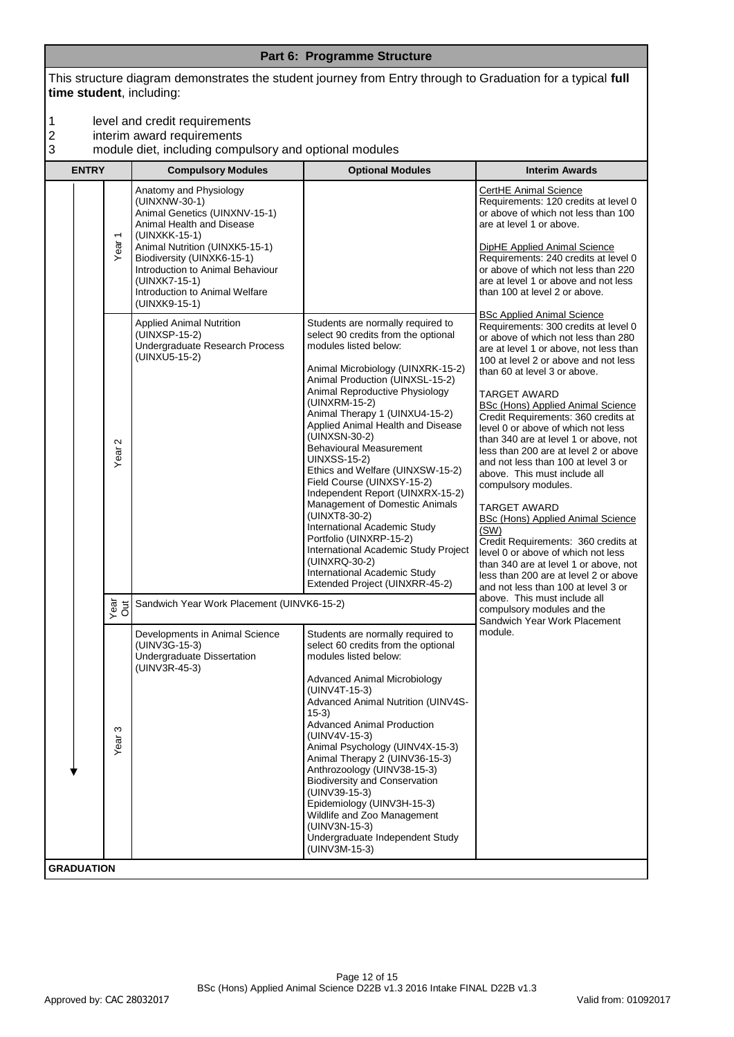#### **Part 6: Programme Structure**

This structure diagram demonstrates the student journey from Entry through to Graduation for a typical **full time student**, including:

- 1 level and credit requirements<br>
2 interim award requirements<br>
3 module diet, including compu
- interim award requirements
- 3 module diet, including compulsory and optional modules

| <b>ENTRY</b>      |                                  | <b>Compulsory Modules</b>                                                                                                                                                                                                                                                                      | <b>Optional Modules</b>                                                                                                                                                                                                                                                                                                                                                                                                                                                                                                                                                                                                                                                                                                      | <b>Interim Awards</b>                                                                                                                                                                                                                                                                                                                                                                                                                                                                                                                                                                                                                                                                                                                                                                                                                                                                                                                                                                                                                                                                                                                                                                  |
|-------------------|----------------------------------|------------------------------------------------------------------------------------------------------------------------------------------------------------------------------------------------------------------------------------------------------------------------------------------------|------------------------------------------------------------------------------------------------------------------------------------------------------------------------------------------------------------------------------------------------------------------------------------------------------------------------------------------------------------------------------------------------------------------------------------------------------------------------------------------------------------------------------------------------------------------------------------------------------------------------------------------------------------------------------------------------------------------------------|----------------------------------------------------------------------------------------------------------------------------------------------------------------------------------------------------------------------------------------------------------------------------------------------------------------------------------------------------------------------------------------------------------------------------------------------------------------------------------------------------------------------------------------------------------------------------------------------------------------------------------------------------------------------------------------------------------------------------------------------------------------------------------------------------------------------------------------------------------------------------------------------------------------------------------------------------------------------------------------------------------------------------------------------------------------------------------------------------------------------------------------------------------------------------------------|
|                   | $\overline{\phantom{0}}$<br>Year | Anatomy and Physiology<br>(UINXNW-30-1)<br>Animal Genetics (UINXNV-15-1)<br>Animal Health and Disease<br>(UINXKK-15-1)<br>Animal Nutrition (UINXK5-15-1)<br>Biodiversity (UINXK6-15-1)<br>Introduction to Animal Behaviour<br>(UINXK7-15-1)<br>Introduction to Animal Welfare<br>(UINXK9-15-1) |                                                                                                                                                                                                                                                                                                                                                                                                                                                                                                                                                                                                                                                                                                                              | CertHE Animal Science<br>Requirements: 120 credits at level 0<br>or above of which not less than 100<br>are at level 1 or above.<br><b>DipHE Applied Animal Science</b><br>Requirements: 240 credits at level 0<br>or above of which not less than 220<br>are at level 1 or above and not less<br>than 100 at level 2 or above.<br><b>BSc Applied Animal Science</b><br>Requirements: 300 credits at level 0<br>or above of which not less than 280<br>are at level 1 or above, not less than<br>100 at level 2 or above and not less<br>than 60 at level 3 or above.<br><b>TARGET AWARD</b><br><b>BSc (Hons) Applied Animal Science</b><br>Credit Requirements: 360 credits at<br>level 0 or above of which not less<br>than 340 are at level 1 or above, not<br>less than 200 are at level 2 or above<br>and not less than 100 at level 3 or<br>above. This must include all<br>compulsory modules.<br><b>TARGET AWARD</b><br><b>BSc (Hons) Applied Animal Science</b><br>(SW)<br>Credit Requirements: 360 credits at<br>level 0 or above of which not less<br>than 340 are at level 1 or above, not<br>less than 200 are at level 2 or above<br>and not less than 100 at level 3 or |
|                   | $\sim$<br>Year                   | <b>Applied Animal Nutrition</b><br>(UINXSP-15-2)<br>Undergraduate Research Process<br>(UINXU5-15-2)                                                                                                                                                                                            | Students are normally required to<br>select 90 credits from the optional<br>modules listed below:<br>Animal Microbiology (UINXRK-15-2)<br>Animal Production (UINXSL-15-2)<br>Animal Reproductive Physiology<br>(UINXRM-15-2)<br>Animal Therapy 1 (UINXU4-15-2)<br>Applied Animal Health and Disease<br>(UINXSN-30-2)<br><b>Behavioural Measurement</b><br><b>UINXSS-15-2)</b><br>Ethics and Welfare (UINXSW-15-2)<br>Field Course (UINXSY-15-2)<br>Independent Report (UINXRX-15-2)<br>Management of Domestic Animals<br>(UINXT8-30-2)<br>International Academic Study<br>Portfolio (UINXRP-15-2)<br>International Academic Study Project<br>(UINXRQ-30-2)<br>International Academic Study<br>Extended Project (UINXRR-45-2) |                                                                                                                                                                                                                                                                                                                                                                                                                                                                                                                                                                                                                                                                                                                                                                                                                                                                                                                                                                                                                                                                                                                                                                                        |
| vea<br>Out        |                                  | Sandwich Year Work Placement (UINVK6-15-2)                                                                                                                                                                                                                                                     |                                                                                                                                                                                                                                                                                                                                                                                                                                                                                                                                                                                                                                                                                                                              | above. This must include all<br>compulsory modules and the<br>Sandwich Year Work Placement                                                                                                                                                                                                                                                                                                                                                                                                                                                                                                                                                                                                                                                                                                                                                                                                                                                                                                                                                                                                                                                                                             |
|                   | S<br>Year                        | Developments in Animal Science<br>(UINV3G-15-3)<br>Undergraduate Dissertation<br>(UINV3R-45-3)                                                                                                                                                                                                 | Students are normally required to<br>select 60 credits from the optional<br>modules listed below:<br>Advanced Animal Microbiology<br>(UINV4T-15-3)<br>Advanced Animal Nutrition (UINV4S-<br>$15-3)$<br>Advanced Animal Production<br>(UINV4V-15-3)<br>Animal Psychology (UINV4X-15-3)<br>Animal Therapy 2 (UINV36-15-3)<br>Anthrozoology (UINV38-15-3)<br><b>Biodiversity and Conservation</b><br>(UINV39-15-3)<br>Epidemiology (UINV3H-15-3)<br>Wildlife and Zoo Management<br>(UINV3N-15-3)<br>Undergraduate Independent Study<br>(UINV3M-15-3)                                                                                                                                                                            | module.                                                                                                                                                                                                                                                                                                                                                                                                                                                                                                                                                                                                                                                                                                                                                                                                                                                                                                                                                                                                                                                                                                                                                                                |
| <b>GRADUATION</b> |                                  |                                                                                                                                                                                                                                                                                                |                                                                                                                                                                                                                                                                                                                                                                                                                                                                                                                                                                                                                                                                                                                              |                                                                                                                                                                                                                                                                                                                                                                                                                                                                                                                                                                                                                                                                                                                                                                                                                                                                                                                                                                                                                                                                                                                                                                                        |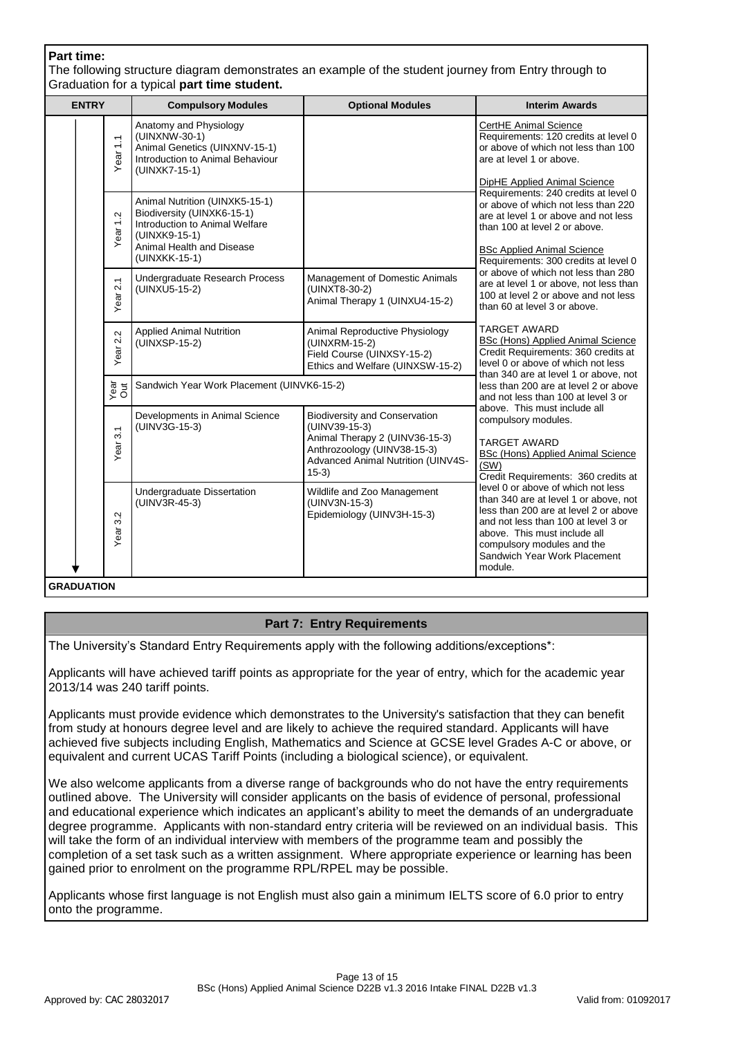## **Part time:**

The following structure diagram demonstrates an example of the student journey from Entry through to Graduation for a typical **part time student.**

| <b>ENTRY</b>         | <b>Compulsory Modules</b>                                                                                                                                     | <b>Optional Modules</b>                                                                                                                                                 | <b>Interim Awards</b>                                                                                                                                                                                                                                                                                                                                                                                                                                                                                                                                                                                                                                                                                                                            |  |
|----------------------|---------------------------------------------------------------------------------------------------------------------------------------------------------------|-------------------------------------------------------------------------------------------------------------------------------------------------------------------------|--------------------------------------------------------------------------------------------------------------------------------------------------------------------------------------------------------------------------------------------------------------------------------------------------------------------------------------------------------------------------------------------------------------------------------------------------------------------------------------------------------------------------------------------------------------------------------------------------------------------------------------------------------------------------------------------------------------------------------------------------|--|
| Year <sub>1.1</sub>  | Anatomy and Physiology<br>(UINXNW-30-1)<br>Animal Genetics (UINXNV-15-1)<br>Introduction to Animal Behaviour<br>(UINXK7-15-1)                                 |                                                                                                                                                                         | CertHE Animal Science<br>Requirements: 120 credits at level 0<br>or above of which not less than 100<br>are at level 1 or above.<br>DipHE Applied Animal Science<br>Requirements: 240 credits at level 0<br>or above of which not less than 220<br>are at level 1 or above and not less<br>than 100 at level 2 or above.<br><b>BSc Applied Animal Science</b><br>Requirements: 300 credits at level 0<br>or above of which not less than 280<br>are at level 1 or above, not less than<br>100 at level 2 or above and not less<br>than 60 at level 3 or above.<br><b>TARGET AWARD</b><br>BSc (Hons) Applied Animal Science<br>Credit Requirements: 360 credits at<br>level 0 or above of which not less<br>than 340 are at level 1 or above, not |  |
| Year <sub>1.2</sub>  | Animal Nutrition (UINXK5-15-1)<br>Biodiversity (UINXK6-15-1)<br>Introduction to Animal Welfare<br>(UINXK9-15-1)<br>Animal Health and Disease<br>(UINXKK-15-1) |                                                                                                                                                                         |                                                                                                                                                                                                                                                                                                                                                                                                                                                                                                                                                                                                                                                                                                                                                  |  |
| Year 2.1             | Undergraduate Research Process<br>(UINXU5-15-2)                                                                                                               | Management of Domestic Animals<br>(UINXT8-30-2)<br>Animal Therapy 1 (UINXU4-15-2)                                                                                       |                                                                                                                                                                                                                                                                                                                                                                                                                                                                                                                                                                                                                                                                                                                                                  |  |
| Year 2.2             | <b>Applied Animal Nutrition</b><br>(UINXSP-15-2)                                                                                                              | Animal Reproductive Physiology<br>(UINXRM-15-2)<br>Field Course (UINXSY-15-2)<br>Ethics and Welfare (UINXSW-15-2)                                                       |                                                                                                                                                                                                                                                                                                                                                                                                                                                                                                                                                                                                                                                                                                                                                  |  |
| Year<br>Out          | Sandwich Year Work Placement (UINVK6-15-2)                                                                                                                    |                                                                                                                                                                         | less than 200 are at level 2 or above<br>and not less than 100 at level 3 or                                                                                                                                                                                                                                                                                                                                                                                                                                                                                                                                                                                                                                                                     |  |
| 3.1<br>Year:         | Developments in Animal Science<br>(UINV3G-15-3)                                                                                                               | <b>Biodiversity and Conservation</b><br>(UINV39-15-3)<br>Animal Therapy 2 (UINV36-15-3)<br>Anthrozoology (UINV38-15-3)<br>Advanced Animal Nutrition (UINV4S-<br>$15-3)$ | above. This must include all<br>compulsory modules.<br><b>TARGET AWARD</b><br>BSc (Hons) Applied Animal Science<br>(SW)<br>Credit Requirements: 360 credits at                                                                                                                                                                                                                                                                                                                                                                                                                                                                                                                                                                                   |  |
| $\sim$<br>6<br>Year: | Undergraduate Dissertation<br>(UINV3R-45-3)                                                                                                                   | Wildlife and Zoo Management<br>(UINV3N-15-3)<br>Epidemiology (UINV3H-15-3)                                                                                              | level 0 or above of which not less<br>than 340 are at level 1 or above, not<br>less than 200 are at level 2 or above<br>and not less than 100 at level 3 or<br>above. This must include all<br>compulsory modules and the<br>Sandwich Year Work Placement<br>module.                                                                                                                                                                                                                                                                                                                                                                                                                                                                             |  |
| <b>GRADUATION</b>    |                                                                                                                                                               |                                                                                                                                                                         |                                                                                                                                                                                                                                                                                                                                                                                                                                                                                                                                                                                                                                                                                                                                                  |  |

# **Part 7: Entry Requirements**

The University's Standard Entry Requirements apply with the following additions/exceptions\*:

Applicants will have achieved tariff points as appropriate for the year of entry, which for the academic year 2013/14 was 240 tariff points.

Applicants must provide evidence which demonstrates to the University's satisfaction that they can benefit from study at honours degree level and are likely to achieve the required standard. Applicants will have achieved five subjects including English, Mathematics and Science at GCSE level Grades A-C or above, or equivalent and current UCAS Tariff Points (including a biological science), or equivalent.

We also welcome applicants from a diverse range of backgrounds who do not have the entry requirements outlined above. The University will consider applicants on the basis of evidence of personal, professional and educational experience which indicates an applicant's ability to meet the demands of an undergraduate degree programme. Applicants with non-standard entry criteria will be reviewed on an individual basis. This will take the form of an individual interview with members of the programme team and possibly the completion of a set task such as a written assignment. Where appropriate experience or learning has been gained prior to enrolment on the programme RPL/RPEL may be possible.

Applicants whose first language is not English must also gain a minimum IELTS score of 6.0 prior to entry onto the programme.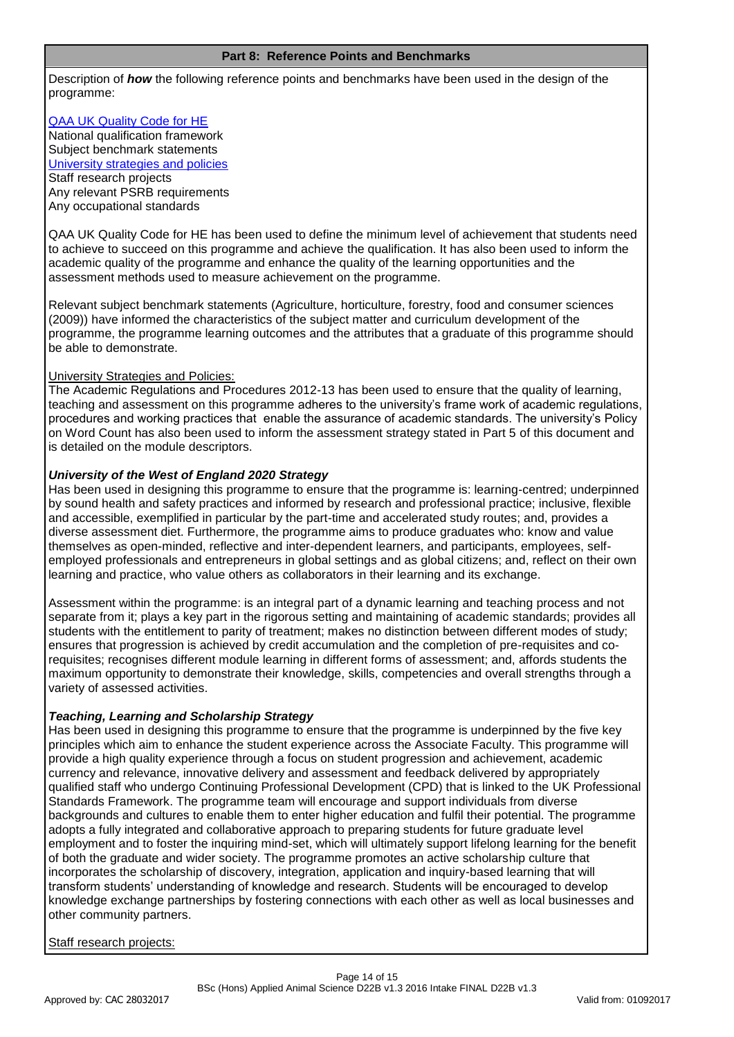#### **Part 8: Reference Points and Benchmarks**

Description of *how* the following reference points and benchmarks have been used in the design of the programme:

# [QAA UK Quality Code for HE](http://www.qaa.ac.uk/assuringstandardsandquality/quality-code/Pages/default.aspx)

National qualification framework Subject benchmark statements [University strategies and policies](http://www1.uwe.ac.uk/aboutus/policies) Staff research projects Any relevant PSRB requirements Any occupational standards

QAA UK Quality Code for HE has been used to define the minimum level of achievement that students need to achieve to succeed on this programme and achieve the qualification. It has also been used to inform the academic quality of the programme and enhance the quality of the learning opportunities and the assessment methods used to measure achievement on the programme.

Relevant subject benchmark statements (Agriculture, horticulture, forestry, food and consumer sciences (2009)) have informed the characteristics of the subject matter and curriculum development of the programme, the programme learning outcomes and the attributes that a graduate of this programme should be able to demonstrate.

### University Strategies and Policies:

The Academic Regulations and Procedures 2012-13 has been used to ensure that the quality of learning, teaching and assessment on this programme adheres to the university's frame work of academic regulations, procedures and working practices that enable the assurance of academic standards. The university's Policy on Word Count has also been used to inform the assessment strategy stated in Part 5 of this document and is detailed on the module descriptors.

## *University of the West of England 2020 Strategy*

Has been used in designing this programme to ensure that the programme is: learning-centred; underpinned by sound health and safety practices and informed by research and professional practice; inclusive, flexible and accessible, exemplified in particular by the part-time and accelerated study routes; and, provides a diverse assessment diet. Furthermore, the programme aims to produce graduates who: know and value themselves as open-minded, reflective and inter-dependent learners, and participants, employees, selfemployed professionals and entrepreneurs in global settings and as global citizens; and, reflect on their own learning and practice, who value others as collaborators in their learning and its exchange.

Assessment within the programme: is an integral part of a dynamic learning and teaching process and not separate from it; plays a key part in the rigorous setting and maintaining of academic standards; provides all students with the entitlement to parity of treatment; makes no distinction between different modes of study; ensures that progression is achieved by credit accumulation and the completion of pre-requisites and corequisites; recognises different module learning in different forms of assessment; and, affords students the maximum opportunity to demonstrate their knowledge, skills, competencies and overall strengths through a variety of assessed activities.

# *Teaching, Learning and Scholarship Strategy*

Has been used in designing this programme to ensure that the programme is underpinned by the five key principles which aim to enhance the student experience across the Associate Faculty. This programme will provide a high quality experience through a focus on student progression and achievement, academic currency and relevance, innovative delivery and assessment and feedback delivered by appropriately qualified staff who undergo Continuing Professional Development (CPD) that is linked to the UK Professional Standards Framework. The programme team will encourage and support individuals from diverse backgrounds and cultures to enable them to enter higher education and fulfil their potential. The programme adopts a fully integrated and collaborative approach to preparing students for future graduate level employment and to foster the inquiring mind-set, which will ultimately support lifelong learning for the benefit of both the graduate and wider society. The programme promotes an active scholarship culture that incorporates the scholarship of discovery, integration, application and inquiry-based learning that will transform students' understanding of knowledge and research. Students will be encouraged to develop knowledge exchange partnerships by fostering connections with each other as well as local businesses and other community partners.

### Staff research projects: